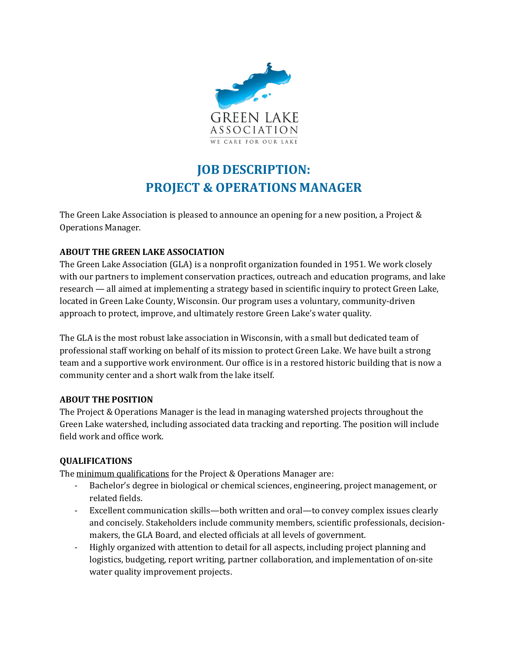

# **JOB DESCRIPTION: PROJECT & OPERATIONS MANAGER**

The Green Lake Association is pleased to announce an opening for a new position, a Project & Operations Manager.

#### **ABOUT THE GREEN LAKE ASSOCIATION**

The Green Lake Association (GLA) is a nonprofit organization founded in 1951. We work closely with our partners to implement conservation practices, outreach and education programs, and lake research — all aimed at implementing a strategy based in scientific inquiry to protect Green Lake, located in Green Lake County, Wisconsin. Our program uses a voluntary, community-driven approach to protect, improve, and ultimately restore Green Lake's water quality.

The GLA is the most robust lake association in Wisconsin, with a small but dedicated team of professional staff working on behalf of its mission to protect Green Lake. We have built a strong team and a supportive work environment. Our office is in a restored historic building that is now a community center and a short walk from the lake itself.

#### **ABOUT THE POSITION**

The Project & Operations Manager is the lead in managing watershed projects throughout the Green Lake watershed, including associated data tracking and reporting. The position will include field work and office work.

# **QUALIFICATIONS**

The minimum qualifications for the Project & Operations Manager are:

- Bachelor's degree in biological or chemical sciences, engineering, project management, or related fields.
- Excellent communication skills—both written and oral—to convey complex issues clearly and concisely. Stakeholders include community members, scientific professionals, decisionmakers, the GLA Board, and elected officials at all levels of government.
- Highly organized with attention to detail for all aspects, including project planning and logistics, budgeting, report writing, partner collaboration, and implementation of on-site water quality improvement projects.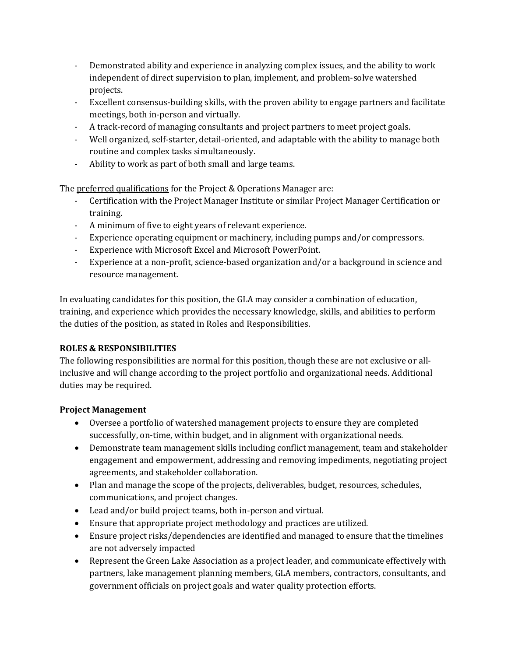- Demonstrated ability and experience in analyzing complex issues, and the ability to work independent of direct supervision to plan, implement, and problem-solve watershed projects.
- Excellent consensus-building skills, with the proven ability to engage partners and facilitate meetings, both in-person and virtually.
- A track-record of managing consultants and project partners to meet project goals.
- Well organized, self-starter, detail-oriented, and adaptable with the ability to manage both routine and complex tasks simultaneously.
- Ability to work as part of both small and large teams.

The preferred qualifications for the Project & Operations Manager are:

- Certification with the Project Manager Institute or similar Project Manager Certification or training.
- A minimum of five to eight years of relevant experience.
- Experience operating equipment or machinery, including pumps and/or compressors.
- Experience with Microsoft Excel and Microsoft PowerPoint.
- Experience at a non-profit, science-based organization and/or a background in science and resource management.

In evaluating candidates for this position, the GLA may consider a combination of education, training, and experience which provides the necessary knowledge, skills, and abilities to perform the duties of the position, as stated in Roles and Responsibilities.

# **ROLES & RESPONSIBILITIES**

The following responsibilities are normal for this position, though these are not exclusive or allinclusive and will change according to the project portfolio and organizational needs. Additional duties may be required.

# **Project Management**

- Oversee a portfolio of watershed management projects to ensure they are completed successfully, on-time, within budget, and in alignment with organizational needs.
- Demonstrate team management skills including conflict management, team and stakeholder engagement and empowerment, addressing and removing impediments, negotiating project agreements, and stakeholder collaboration.
- Plan and manage the scope of the projects, deliverables, budget, resources, schedules, communications, and project changes.
- Lead and/or build project teams, both in-person and virtual.
- Ensure that appropriate project methodology and practices are utilized.
- Ensure project risks/dependencies are identified and managed to ensure that the timelines are not adversely impacted
- Represent the Green Lake Association as a project leader, and communicate effectively with partners, lake management planning members, GLA members, contractors, consultants, and government officials on project goals and water quality protection efforts.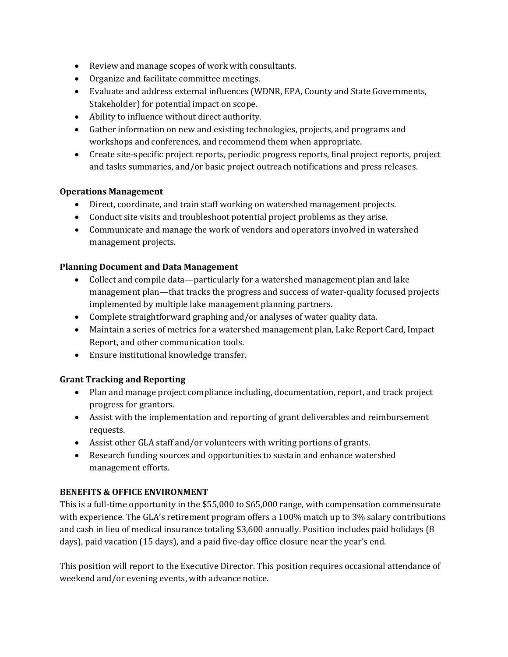- Review and manage scopes of work with consultants.
- Organize and facilitate committee meetings.
- Evaluate and address external influences (WDNR, EPA, County and State Governments, Stakeholder) for potential impact on scope.
- Ability to influence without direct authority.
- Gather information on new and existing technologies, projects, and programs and workshops and conferences, and recommend them when appropriate.
- Create site-specific project reports, periodic progress reports, final project reports, project and tasks summaries, and/or basic project outreach notifications and press releases.

#### **Operations Management**

- Direct, coordinate, and train staff working on watershed management projects.
- Conduct site visits and troubleshoot potential project problems as they arise.
- Communicate and manage the work of vendors and operators involved in watershed management projects.

#### **Planning Document and Data Management**

- Collect and compile data—particularly for a watershed management plan and lake management plan—that tracks the progress and success of water-quality focused projects implemented by multiple lake management planning partners.
- Complete straightforward graphing and/or analyses of water quality data.
- Maintain a series of metrics for a watershed management plan, Lake Report Card, Impact Report, and other communication tools.
- Ensure institutional knowledge transfer.

# **Grant Tracking and Reporting**

- Plan and manage project compliance including, documentation, report, and track project progress for grantors.
- Assist with the implementation and reporting of grant deliverables and reimbursement requests.
- Assist other GLA staff and/or volunteers with writing portions of grants.
- Research funding sources and opportunities to sustain and enhance watershed management efforts.

#### **BENEFITS & OFFICE ENVIRONMENT**

This is a full-time opportunity in the \$55,000 to \$65,000 range, with compensation commensurate with experience. The GLA's retirement program offers a 100% match up to 3% salary contributions and cash in lieu of medical insurance totaling \$3,600 annually. Position includes paid holidays (8 days), paid vacation (15 days), and a paid five-day office closure near the year's end.

This position will report to the Executive Director. This position requires occasional attendance of weekend and/or evening events, with advance notice.